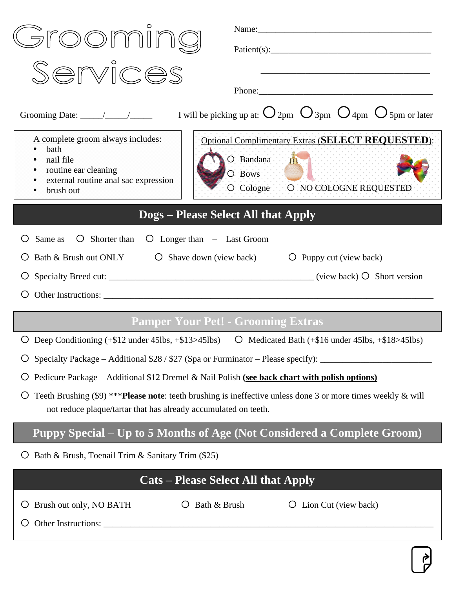| roomir                                                                                                                                                                                | Name: 2008. 2008. 2010. 2010. 2010. 2010. 2010. 2010. 2010. 2010. 2010. 2010. 2010. 2010. 2010. 2010. 2010. 20 |  |  |  |
|---------------------------------------------------------------------------------------------------------------------------------------------------------------------------------------|----------------------------------------------------------------------------------------------------------------|--|--|--|
|                                                                                                                                                                                       |                                                                                                                |  |  |  |
| Services                                                                                                                                                                              |                                                                                                                |  |  |  |
|                                                                                                                                                                                       | Phone:                                                                                                         |  |  |  |
|                                                                                                                                                                                       |                                                                                                                |  |  |  |
| A complete groom always includes:<br>bath                                                                                                                                             | <b>Optional Complimentary Extras (SELECT REQUESTED):</b>                                                       |  |  |  |
| nail file<br>routine ear cleaning                                                                                                                                                     | O Bandana III<br>O Bows                                                                                        |  |  |  |
| external routine anal sac expression<br>brush out                                                                                                                                     | O Cologne O NO COLOGNE REQUESTED                                                                               |  |  |  |
|                                                                                                                                                                                       | <b>Dogs – Please Select All that Apply</b>                                                                     |  |  |  |
| $\overline{O}$ Shorter than $\overline{O}$ Longer than – Last Groom<br>Same as                                                                                                        |                                                                                                                |  |  |  |
| Bath & Brush out ONLY $\bigcirc$ Shave down (view back)<br>$\bigcirc$ Puppy cut (view back)                                                                                           |                                                                                                                |  |  |  |
|                                                                                                                                                                                       |                                                                                                                |  |  |  |
|                                                                                                                                                                                       |                                                                                                                |  |  |  |
| <b>Pamper Your Pet! - Grooming Extras</b>                                                                                                                                             |                                                                                                                |  |  |  |
| Deep Conditioning $(+\$12$ under $45\text{lbs}, +\$13>45\text{lbs})$                                                                                                                  | Medicated Bath $(+\$16$ under $45\text{lbs}, +\$18>45\text{lbs})$<br>$\circ$                                   |  |  |  |
|                                                                                                                                                                                       | Specialty Package - Additional \$28 / \$27 (Spa or Furminator - Please specify): ______________                |  |  |  |
| Ő                                                                                                                                                                                     | Pedicure Package - Additional \$12 Dremel & Nail Polish (see back chart with polish options)                   |  |  |  |
| Teeth Brushing (\$9) *** Please note: teeth brushing is ineffective unless done 3 or more times weekly & will<br>Ő<br>not reduce plaque/tartar that has already accumulated on teeth. |                                                                                                                |  |  |  |
|                                                                                                                                                                                       | Puppy Special – Up to 5 Months of Age (Not Considered a Complete Groom)                                        |  |  |  |
| Bath & Brush, Toenail Trim & Sanitary Trim (\$25)                                                                                                                                     |                                                                                                                |  |  |  |
| <b>Cats – Please Select All that Apply</b>                                                                                                                                            |                                                                                                                |  |  |  |
| Brush out only, NO BATH<br>$\circ$                                                                                                                                                    | Bath & Brush<br>Lion Cut (view back)                                                                           |  |  |  |
|                                                                                                                                                                                       |                                                                                                                |  |  |  |
|                                                                                                                                                                                       |                                                                                                                |  |  |  |